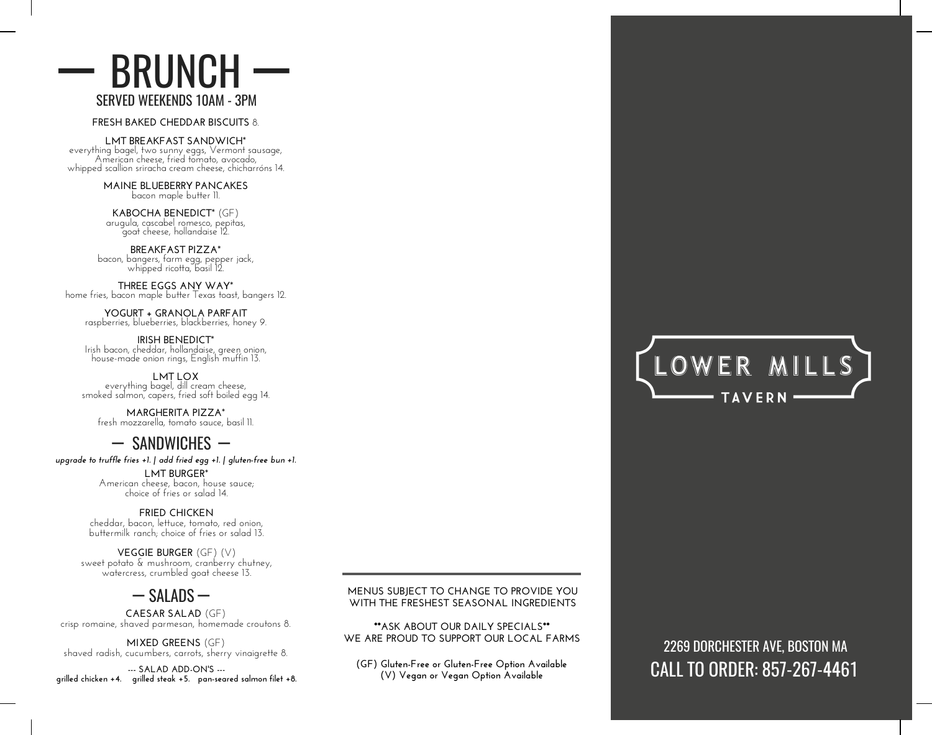#### SERVED WEEKENDS 10AM - 3PM BRUNCH <u>I</u> <u>I</u>

**FRESH BAKED CHEDDAR BISCUITS** 8.

**LMT BREAKFAST SANDWICH**\*

everything bagel, two sunny eggs, Vermont sausage, American cheese, fried tomato, avocado, whipped scallion sriracha cream cheese, chicharróns 14.

> **MAINE BLUEBERRY PANCAKES** bacon maple butter 11.

**KABOCHA BENEDICT**\* (GF) arugula, cascabel romesco, pepitas, goat cheese, hollandaise 12.

**BREAKFAST PIZZA**\* bacon, bangers, farm egg, pepper jack, whipped ricotta, basil 12.

**THREE EGGS ANY WAY**\* home fries, bacon maple butter Texas toast, bangers 12.

**YOGURT + GRANOLA PARFAIT** raspberries, blueberries, blackberries, honey 9.

**IRISH BENEDICT**\* Irish bacon, cheddar, hollandaise, green onion, house-made onion rings, English muffin 13.

**LMT LOX** everything bagel, dill cream cheese, smoked salmon, capers, fried soft boiled egg 14.

**MARGHERITA PIZZA**\* fresh mozzarella, tomato sauce, basil 11.

### — SANDWICHES —

*upgrade to truffle fries +1. | add fried egg +1. | gluten-free bun +1.*

**LMT BURGER**\* American cheese, bacon, house sauce; choice of fries or salad 14.

**FRIED CHICKEN** cheddar, bacon, lettuce, tomato, red onion, buttermilk ranch; choice of fries or salad 13.

**VEGGIE BURGER** (GF) (V) sweet potato & mushroom, cranberry chutney, watercress, crumbled goat cheese 13.

— SALADS —

**CAESAR SALAD** (GF) crisp romaine, shaved parmesan, homemade croutons 8.

**MIXED GREENS** (GF) shaved radish, cucumbers, carrots, sherry vinaigrette 8.

**--- SALAD ADD-ON'S -- grilled chicken +4. grilled steak +5. pan-seared salmon filet +8.** **MENUS SUBJECT TO CHANGE TO PROVIDE YOU WITH THE FRESHEST SEASONAL INGREDIENTS**

**\*\*ASK ABOUT OUR DAILY SPECIALS\*\* WE ARE PROUD TO SUPPORT OUR LOCAL FARMS**

**(GF) Gluten-Free or Gluten-Free Option Available (V) Vegan or Vegan Option Available**



# 2269 DORCHESTER AVE, BOSTON MA CALL TO ORDER: 857-267-4461